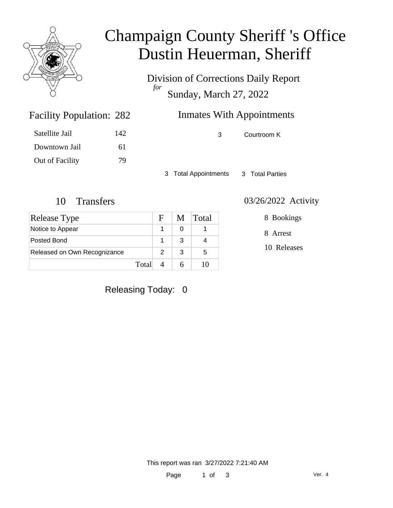

# Champaign County Sheriff 's Office Dustin Heuerman, Sheriff

Division of Corrections Daily Report *for* Sunday, March 27, 2022

| 282 | <b>Inmates With Appointments</b> |
|-----|----------------------------------|
|     |                                  |

| Satellite Jail  | 142 |
|-----------------|-----|
| Downtown Jail   | 61  |
| Out of Facility | 79  |

Facility Population: 282

3 Courtroom K

3 Total Appointments 3 Total Parties

| Release Type                 |       | F | M | <b>Total</b> |
|------------------------------|-------|---|---|--------------|
| Notice to Appear             |       |   |   |              |
| Posted Bond                  |       |   | З |              |
| Released on Own Recognizance |       |   | 3 | 5            |
|                              | Total |   |   |              |

### 10 Transfers 03/26/2022 Activity

8 Bookings

8 Arrest

10 Releases

Releasing Today: 0

This report was ran 3/27/2022 7:21:40 AM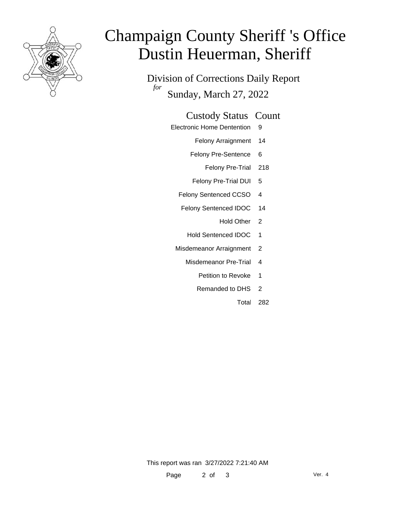

# Champaign County Sheriff 's Office Dustin Heuerman, Sheriff

Division of Corrections Daily Report *for* Sunday, March 27, 2022

### Custody Status Count

- Electronic Home Dentention 9
	- Felony Arraignment 14
	- Felony Pre-Sentence 6
		- Felony Pre-Trial 218
	- Felony Pre-Trial DUI 5
	- Felony Sentenced CCSO 4
	- Felony Sentenced IDOC 14
		- Hold Other 2
		- Hold Sentenced IDOC 1
	- Misdemeanor Arraignment 2
		- Misdemeanor Pre-Trial 4
			- Petition to Revoke 1
			- Remanded to DHS 2
				- Total 282

This report was ran 3/27/2022 7:21:40 AM